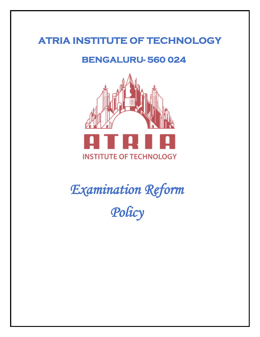# **ATRIA INSTITUTE OF TECHNOLOGY**

# **BENGALURU- 560 024**



*Examination Reform Policy*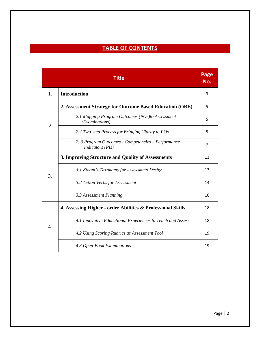# **TABLE OF CONTENTS**

|                | <b>Title</b>                                                                  | Page<br>No. |
|----------------|-------------------------------------------------------------------------------|-------------|
| 1.             | <b>Introduction</b>                                                           | 3           |
| $\overline{2}$ | 2. Assessment Strategy for Outcome Based Education (OBE)                      | 5           |
|                | 2.1 Mapping Program Outcomes (POs)to Assessment<br>(Examinations)             | 5           |
|                | 2.2 Two-step Process for Bringing Clarity to POs                              | 5           |
|                | 2. 3 Program Outcomes - Competencies - Performance<br><i>Indicators (PIs)</i> | 7           |
| 3.             | 3. Improving Structure and Quality of Assessments                             | 13          |
|                | 3.1 Bloom's Taxonomy for Assessment Design                                    | 13          |
|                | 3.2 Action Verbs for Assessment                                               | 14          |
|                | 3.3 Assessment Planning                                                       | 16          |
|                | 4. Assessing Higher - order Abilities & Professional Skills                   | 18          |
| 4.             | 4.1 Innovative Educational Experiences to Teach and Assess                    | 18          |
|                | 4.2 Using Scoring Rubrics as Assessment Tool                                  | 19          |
|                | 4.3 Open-Book Examinations                                                    | 19          |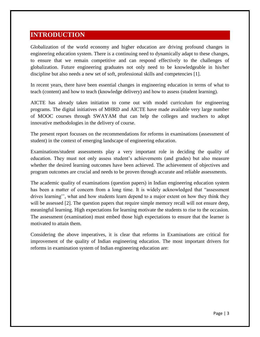# **INTRODUCTION**

Globalization of the world economy and higher education are driving profound changes in engineering education system. There is a continuing need to dynamically adapt to these changes, to ensure that we remain competitive and can respond effectively to the challenges of globalization. Future engineering graduates not only need to be knowledgeable in his/her discipline but also needs a new set of soft, professional skills and competencies [1].

In recent years, there have been essential changes in engineering education in terms of what to teach (content) and how to teach (knowledge delivery) and how to assess (student learning).

AICTE has already taken initiation to come out with model curriculum for engineering programs. The digital initiatives of MHRD and AICTE have made available very large number of MOOC courses through SWAYAM that can help the colleges and teachers to adopt innovative methodologies in the delivery of course.

The present report focusses on the recommendations for reforms in examinations (assessment of student) in the context of emerging landscape of engineering education.

Examinations/student assessments play a very important role in deciding the quality of education. They must not only assess student's achievements (and grades) but also measure whether the desired learning outcomes have been achieved. The achievement of objectives and program outcomes are crucial and needs to be proven through accurate and reliable assessments.

The academic quality of examinations (question papers) in Indian engineering education system has been a matter of concern from a long time. It is widely acknowledged that "assessment drives learning'', what and how students learn depend to a major extent on how they think they will be assessed [2]. The question papers that require simple memory recall will not ensure deep, meaningful learning. High expectations for learning motivate the students to rise to the occasion. The assessment (examination) must embed those high expectations to ensure that the learner is motivated to attain them.

Considering the above imperatives, it is clear that reforms in Examinations are critical for improvement of the quality of Indian engineering education. The most important drivers for reforms in examination system of Indian engineering education are: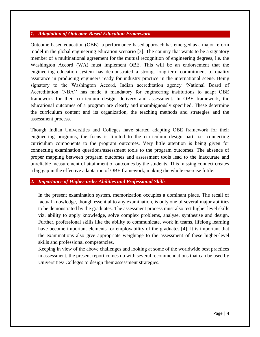### *1. Adaptation of Outcome-Based Education Framework*

Outcome-based education (OBE)- a performance-based approach has emerged as a major reform model in the global engineering education scenario [3]. The country that wants to be a signatory member of a multinational agreement for the mutual recognition of engineering degrees, i.e. the Washington Accord (WA) must implement OBE. This will be an endorsement that the engineering education system has demonstrated a strong, long-term commitment to quality assurance in producing engineers ready for industry practice in the international scene. Being signatory to the Washington Accord, Indian accreditation agency 'National Board of Accreditation (NBA)' has made it mandatory for engineering institutions to adapt OBE framework for their curriculum design, delivery and assessment. In OBE framework, the educational outcomes of a program are clearly and unambiguously specified. These determine the curriculum content and its organization, the teaching methods and strategies and the assessment process.

Though Indian Universities and Colleges have started adapting OBE framework for their engineering programs, the focus is limited to the curriculum design part, i.e. connecting curriculum components to the program outcomes. Very little attention is being given for connecting examination questions/assessment tools to the program outcomes. The absence of proper mapping between program outcomes and assessment tools lead to the inaccurate and unreliable measurement of attainment of outcomes by the students. This missing connect creates a big gap in the effective adaptation of OBE framework, making the whole exercise futile.

### *2. Importance of Higher-order Abilities and Professional Skills*

In the present examination system, memorization occupies a dominant place. The recall of factual knowledge, though essential to any examination, is only one of several major abilities to be demonstrated by the graduates. The assessment process must also test higher level skills viz. ability to apply knowledge, solve complex problems, analyse, synthesise and design. Further, professional skills like the ability to communicate, work in teams, lifelong learning have become important elements for employability of the graduates [4]. It is important that the examinations also give appropriate weightage to the assessment of these higher-level skills and professional competencies.

Keeping in view of the above challenges and looking at some of the worldwide best practices in assessment, the present report comes up with several recommendations that can be used by Universities/ Colleges to design their assessment strategies.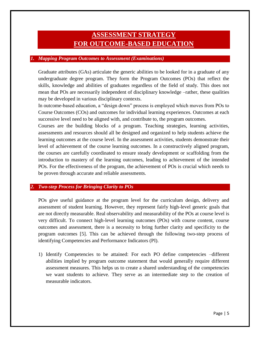# **ASSESSMENT STRATEGY FOR OUTCOME-BASED EDUCATION**

### *1. Mapping Program Outcomes to Assessment (Examinations)*

Graduate attributes (GAs) articulate the generic abilities to be looked for in a graduate of any undergraduate degree program. They form the Program Outcomes (POs) that reflect the skills, knowledge and abilities of graduates regardless of the field of study. This does not mean that POs are necessarily independent of disciplinary knowledge –rather, these qualities may be developed in various disciplinary contexts.

In outcome-based education, a "design down" process is employed which moves from POs to Course Outcomes (COs) and outcomes for individual learning experiences. Outcomes at each successive level need to be aligned with, and contribute to, the program outcomes.

Courses are the building blocks of a program. Teaching strategies, learning activities, assessments and resources should all be designed and organized to help students achieve the learning outcomes at the course level. In the assessment activities, students demonstrate their level of achievement of the course learning outcomes. In a constructively aligned program, the courses are carefully coordinated to ensure steady development or scaffolding from the introduction to mastery of the learning outcomes, leading to achievement of the intended POs. For the effectiveness of the program, the achievement of POs is crucial which needs to be proven through accurate and reliable assessments.

### *2. Two-step Process for Bringing Clarity to POs*

POs give useful guidance at the program level for the curriculum design, delivery and assessment of student learning. However, they represent fairly high-level generic goals that are not directly measurable. Real observability and measurability of the POs at course level is very difficult. To connect high-level learning outcomes (POs) with course content, course outcomes and assessment, there is a necessity to bring further clarity and specificity to the program outcomes [5]. This can be achieved through the following two-step process of identifying Competencies and Performance Indicators (PI).

1) Identify Competencies to be attained: For each PO define competencies –different abilities implied by program outcome statement that would generally require different assessment measures. This helps us to create a shared understanding of the competencies we want students to achieve. They serve as an intermediate step to the creation of measurable indicators.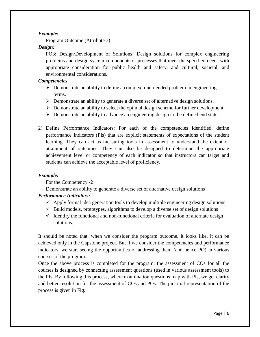# *Example:*

Program Outcome (Attribute 3)

# *Design:*

PO3: Design/Development of Solutions: Design solutions for complex engineering problems and design system components or processes that meet the specified needs with appropriate consideration for public health and safety, and cultural, societal, and environmental considerations.

# *Competencies*

- $\triangleright$  Demonstrate an ability to define a complex, open-ended problem in engineering terms.
- $\triangleright$  Demonstrate an ability to generate a diverse set of alternative design solutions.
- Demonstrate an ability to select the optimal design scheme for further development.
- $\triangleright$  Demonstrate an ability to advance an engineering design to the defined end state.
- 2) Define Performance Indicators: For each of the competencies identified, define performance Indicators (PIs) that are explicit statements of expectations of the student learning. They can act as measuring tools in assessment to understand the extent of attainment of outcomes. They can also be designed to determine the appropriate achievement level or competency of each indicator so that instructors can target and students can achieve the acceptable level of proficiency.

# *Example:*

For the Competency -2

Demonstrate an ability to generate a diverse set of alternative design solutions

# *Performance Indicators:*

- $\checkmark$  Apply formal idea generation tools to develop multiple engineering design solutions
- $\checkmark$  Build models, prototypes, algorithms to develop a diverse set of design solutions
- $\checkmark$  Identify the functional and non-functional criteria for evaluation of alternate design solutions.

It should be noted that, when we consider the program outcome, it looks like, it can be achieved only in the Capstone project. But if we consider the competencies and performance indicators, we start seeing the opportunities of addressing them (and hence PO) in various courses of the program.

Once the above process is completed for the program, the assessment of COs for all the courses is designed by connecting assessment questions (used in various assessment tools) to the PIs. By following this process, where examination questions map with PIs, we get clarity and better resolution for the assessment of COs and POs. The pictorial representation of the process is given in Fig. 1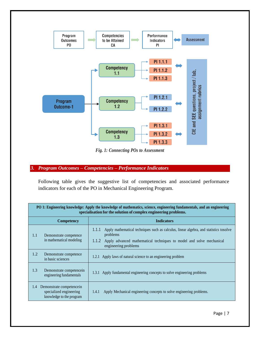

*Fig. 1: Connecting POs to Assessment*

# *3. Program Outcomes – Competencies – Performance Indicators*

Following table gives the suggestive list of competencies and associated performance indicators for each of the PO in Mechanical Engineering Program.

| PO 1: Engineering knowledge: Apply the knowledge of mathematics, science, engineering fundamentals, and an engineering<br>specialisation for the solution of complex engineering problems. |                                                                                                             |                                                                                                       |
|--------------------------------------------------------------------------------------------------------------------------------------------------------------------------------------------|-------------------------------------------------------------------------------------------------------------|-------------------------------------------------------------------------------------------------------|
|                                                                                                                                                                                            | <b>Competency</b>                                                                                           | <b>Indicators</b>                                                                                     |
| 1.1<br>Demonstrate competence<br>in mathematical modeling                                                                                                                                  | 1.1.1<br>Apply mathematical techniques such as calculus, linear algebra, and statistics tosolve<br>problems |                                                                                                       |
|                                                                                                                                                                                            |                                                                                                             | Apply advanced mathematical techniques to model and solve mechanical<br>1.1.2<br>engineering problems |
| 1.2                                                                                                                                                                                        | Demonstrate competence<br>in basic sciences                                                                 | 1.2.1 Apply laws of natural science to an engineering problem                                         |
| 1.3                                                                                                                                                                                        | Demonstrate competencein<br>engineering fundamentals                                                        | 1.3.1 Apply fundamental engineering concepts to solve engineering problems                            |
| 1.4                                                                                                                                                                                        | Demonstrate competence in<br>specialized engineering<br>knowledge to the program                            | Apply Mechanical engineering concepts to solve engineering problems.<br>1.4.1                         |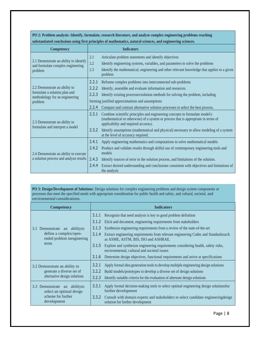**PO 2: Problem analysis: Identify, formulate, research literature, and analyse complex engineering problems reaching**

| Competency                                                                  |       | <b>Indicators</b>                                                                                                                                                                                         |
|-----------------------------------------------------------------------------|-------|-----------------------------------------------------------------------------------------------------------------------------------------------------------------------------------------------------------|
|                                                                             | 2.1   | Articulate problem statements and identify objectives                                                                                                                                                     |
| 2.1 Demonstrate an ability to identify<br>and formulate complex engineering | 2.2   | Identify engineering systems, variables, and parameters to solve the problems                                                                                                                             |
| problem                                                                     | 2.3   | Identify the mathematical, engineering and other relevant knowledge that applies to a given<br>problem                                                                                                    |
|                                                                             | 2.2.1 | Reframe complex problems into interconnected sub-problems                                                                                                                                                 |
| 2.2 Demonstrate an ability to                                               | 2.2.2 | Identify, assemble and evaluate information and resources.                                                                                                                                                |
| formulate a solution plan and<br>methodology for an engineering             | 2.2.3 | Identify existing processes/solution methods for solving the problem, including                                                                                                                           |
| problem                                                                     |       | forming justified approximations and assumptions                                                                                                                                                          |
|                                                                             | 2.2.4 | Compare and contrast alternative solution processes to select the best process.                                                                                                                           |
| 2.3 Demonstrate an ability to                                               | 2.3.1 | Combine scientific principles and engineering concepts to formulate model/s<br>(mathematical or otherwise) of a system or process that is appropriate in terms of<br>applicability and required accuracy. |
| formulate and interpret a model                                             | 2.3.2 | Identify assumptions (mathematical and physical) necessary to allow modeling of a system<br>at the level of accuracy required.                                                                            |
|                                                                             | 2.4.1 | Apply engineering mathematics and computations to solve mathematical models                                                                                                                               |
| 2.4 Demonstrate an ability to execute                                       | 2.4.2 | Produce and validate results through skilful use of contemporary engineering tools and<br>models                                                                                                          |
| a solution process and analyze results                                      | 2.4.3 | Identify sources of error in the solution process, and limitations of the solution.                                                                                                                       |
|                                                                             | 2.4.4 | Extract desired understanding and conclusions consistent with objectives and limitations of<br>the analysis                                                                                               |

**substantiated conclusions using first principles of mathematics, natural sciences, and engineering sciences.**

PO 3: Design/Development of Solutions: Design solutions for complex engineering problems and design system components or processes that meet the specified needs with appropriate consideration for public health and safety, and cultural, societal, and environmental considerations.

| <b>Competency</b>                                         | <b>Indicators</b>                                                                                                                         |
|-----------------------------------------------------------|-------------------------------------------------------------------------------------------------------------------------------------------|
|                                                           | 3.1.1<br>Recognize that need analysis is key to good problem definition                                                                   |
|                                                           | 3.1.2<br>Elicit and document, engineering requirements from stakeholders                                                                  |
| 3.1 Demonstrate an ability to                             | Synthesize engineering requirements from a review of the state-of-the-art<br>3.1.3                                                        |
| define a complex/open-<br>ended problem inengineering     | 3.1.4<br>Extract engineering requirements from relevant engineering Codes and Standardssuch<br>as ASME, ASTM, BIS, ISO and ASHRAE.        |
| terms                                                     | 3.1.5<br>Explore and synthesize engineering requirements considering health, safety risks,<br>environmental, cultural and societal issues |
|                                                           | 3.1.6<br>Determine design objectives, functional requirements and arrive at specifications                                                |
| 3.2 Demonstrate an ability to                             | 3.2.1<br>Apply formal idea generation tools to develop multiple engineering design solutions                                              |
| generate a diverse set of                                 | 3.2.2<br>Build models/prototypes to develop a diverse set of design solutions                                                             |
| alternative design solutions                              | 3.2.3<br>Identify suitable criteria for the evaluation of alternate design solutions                                                      |
| 3.3 Demonstrate an ability to<br>select an optimal design | 3.3.1<br>Apply formal decision-making tools to select optimal engineering design solutions for<br>further development                     |
| scheme for further<br>development                         | 3.3.2<br>Consult with domain experts and stakeholders to select candidate engineering design<br>solution for further development          |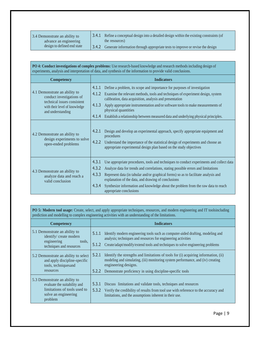3.4 Demonstrate an ability to advance an engineering design to defined end state

3.4.1 Refine a conceptual design into a detailed design within the existing constraints (of the resources) 3.4.2 Generate information through appropriate tests to improve or revise the design

| PO 4: Conduct investigations of complex problems: Use research-based knowledge and research methods including design of<br>experiments, analysis and interpretation of data, and synthesis of the information to provide valid conclusions. |                                                                                                                                                                                                                                                                                                                                                                                                                                                                                                                                                                                                                                                                                                                                         |  |
|---------------------------------------------------------------------------------------------------------------------------------------------------------------------------------------------------------------------------------------------|-----------------------------------------------------------------------------------------------------------------------------------------------------------------------------------------------------------------------------------------------------------------------------------------------------------------------------------------------------------------------------------------------------------------------------------------------------------------------------------------------------------------------------------------------------------------------------------------------------------------------------------------------------------------------------------------------------------------------------------------|--|
| <b>Competency</b>                                                                                                                                                                                                                           | <b>Indicators</b>                                                                                                                                                                                                                                                                                                                                                                                                                                                                                                                                                                                                                                                                                                                       |  |
| 4.1 Demonstrate an ability to<br>conduct investigations of<br>technical issues consistent<br>with their level of knowledge<br>and understanding<br>4.2 Demonstrate an ability to<br>design experiments to solve<br>open-ended problems      | 4.1.1<br>Define a problem, its scope and importance for purposes of investigation<br>4.1.2<br>Examine the relevant methods, tools and techniques of experiment design, system<br>calibration, data acquisition, analysis and presentation<br>4.1.3<br>Apply appropriate instrumentation and/or software tools to make measurements of<br>physical quantities<br>4.1.4<br>Establish a relationship between measured data and underlying physical principles.<br>4.2.1<br>Design and develop an experimental approach, specify appropriate equipment and<br>procedures<br>4.2.2<br>Understand the importance of the statistical design of experiments and choose an<br>appropriate experimental design plan based on the study objectives |  |
| 4.3 Demonstrate an ability to<br>analyze data and reach a                                                                                                                                                                                   | 4.3.1<br>Use appropriate procedures, tools and techniques to conduct experiments and collect data<br>4.3.2<br>Analyze data for trends and correlations, stating possible errors and limitations<br>4.3.3<br>Represent data (in tabular and/or graphical forms) so as to facilitate analysis and                                                                                                                                                                                                                                                                                                                                                                                                                                         |  |
| valid conclusion                                                                                                                                                                                                                            | explanation of the data, and drawing of conclusions<br>4.3.4<br>Synthesize information and knowledge about the problem from the raw data to reach<br>appropriate conclusions                                                                                                                                                                                                                                                                                                                                                                                                                                                                                                                                                            |  |

**PO 5: Modern tool usage:** Create, select, and apply appropriate techniques, resources, and modern engineering and IT toolsincluding prediction and modelling to complex engineering activities with an understanding of the limitations.

| <b>Competency</b>                                                                                          | <b>Indicators</b>                                                                                                                                                                                                                                                              |
|------------------------------------------------------------------------------------------------------------|--------------------------------------------------------------------------------------------------------------------------------------------------------------------------------------------------------------------------------------------------------------------------------|
| 5.1 Demonstrate an ability to                                                                              | Identify modern engineering tools such as computer-aided drafting, modeling and                                                                                                                                                                                                |
| identify/ create modern                                                                                    | 5.1.1                                                                                                                                                                                                                                                                          |
| engineering                                                                                                | analysis; techniques and resources for engineering activities                                                                                                                                                                                                                  |
| tools,                                                                                                     | 5.1.2                                                                                                                                                                                                                                                                          |
| techniques and resources                                                                                   | Create/adapt/modify/extend tools and techniques to solve engineering problems                                                                                                                                                                                                  |
| 5.2 Demonstrate an ability to select<br>and apply discipline-specific<br>tools, techniquesand<br>resources | Identify the strengths and limitations of tools for (i) acquiring information, (ii)<br>5.2.1<br>modeling and simulating, (iii) monitoring system performance, and (iv) creating<br>engineering designs.<br>Demonstrate proficiency in using discipline-specific tools<br>5.2.2 |
| 5.3 Demonstrate an ability to                                                                              | 5.3.1                                                                                                                                                                                                                                                                          |
| evaluate the suitability and                                                                               | Discuss limitations and validate tools, techniques and resources                                                                                                                                                                                                               |
| limitations of tools used to                                                                               | 5.3.2                                                                                                                                                                                                                                                                          |
| solve an engineering                                                                                       | Verify the credibility of results from tool use with reference to the accuracy and                                                                                                                                                                                             |
| problem                                                                                                    | limitations, and the assumptions inherent in their use.                                                                                                                                                                                                                        |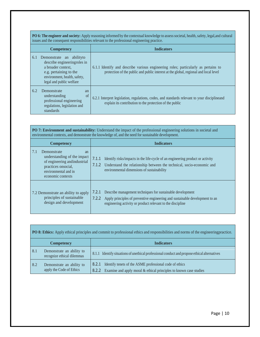**PO 6: The engineer and society:** Apply reasoning informed by the contextual knowledge to assess societal, health,safety, legal,and cultural issues and the consequent responsibilities relevant to the professional engineering practice.

|     | <b>Competency</b>                                                                                                                                                    | <b>Indicators</b>                                                                                                                                                          |
|-----|----------------------------------------------------------------------------------------------------------------------------------------------------------------------|----------------------------------------------------------------------------------------------------------------------------------------------------------------------------|
| 6.1 | Demonstrate an abilityto<br>describe engineeringroles in<br>a broader context.<br>e.g. pertaining to the<br>environment, health, safety,<br>legal and public welfare | 6.1.1 Identify and describe various engineering roles; particularly as pertains to<br>protection of the public and public interest at the global, regional and local level |
| 6.2 | Demonstrate<br>an<br>of<br>understanding<br>professional engineering<br>regulations, legislation and<br>standards                                                    | 6.2.1 Interpret legislation, regulations, codes, and standards relevant to your disciplineand<br>explain its contribution to the protection of the public                  |

| <b>PO 7: Environment and sustainability:</b> Understand the impact of the professional engineering solutions in societal and<br>environmental contexts, and demonstrate the knowledge of, and the need for sustainable development. |                                                                                                                                                                                                                            |  |
|-------------------------------------------------------------------------------------------------------------------------------------------------------------------------------------------------------------------------------------|----------------------------------------------------------------------------------------------------------------------------------------------------------------------------------------------------------------------------|--|
| <b>Competency</b>                                                                                                                                                                                                                   | <b>Indicators</b>                                                                                                                                                                                                          |  |
| 7.1<br>Demonstrate<br>an<br>understanding of the impact<br>of engineering and industrial<br>practices onsocial,<br>environmental and in<br>economic contexts                                                                        | 7.1.1<br>Identify risks/impacts in the life-cycle of an engineering product or activity<br>7.1.2<br>Understand the relationship between the technical, socio-economic and<br>environmental dimensions of sustainability    |  |
| 7.2 Demonstrate an ability to apply<br>principles of sustainable<br>design and development                                                                                                                                          | Describe management techniques for sustainable development<br>7.2.1<br>7.2.2<br>Apply principles of preventive engineering and sustainable development to an<br>engineering activity or product relevant to the discipline |  |

| <b>PO 8: Ethics:</b> Apply ethical principles and commit to professional ethics and responsibilities and norms of the engineering practice. |                                                         |                                                                                                                                                   |
|---------------------------------------------------------------------------------------------------------------------------------------------|---------------------------------------------------------|---------------------------------------------------------------------------------------------------------------------------------------------------|
|                                                                                                                                             | <b>Competency</b>                                       | <b>Indicators</b>                                                                                                                                 |
| 8.1                                                                                                                                         | Demonstrate an ability to<br>recognize ethical dilemmas | Identify situations of unethical professional conduct and propose ethical alternatives<br>8.1.1                                                   |
| 8.2                                                                                                                                         | Demonstrate an ability to<br>apply the Code of Ethics   | Identify tenets of the ASME professional code of ethics<br>8.2.1<br>Examine and apply moral $&$ ethical principles to known case studies<br>8.2.2 |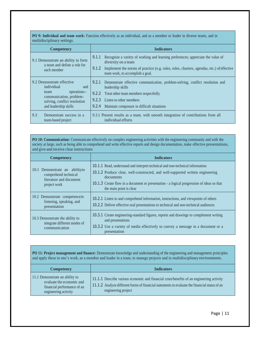**PO 9: Individual and team work:** Function effectively as an individual, and as a member or leader in diverse teams, and in multidisciplinary settings.

| <b>Competency</b>                                                                                                                                          | <b>Indicators</b>                                                                                                                                                                                                                                          |
|------------------------------------------------------------------------------------------------------------------------------------------------------------|------------------------------------------------------------------------------------------------------------------------------------------------------------------------------------------------------------------------------------------------------------|
| 9.1 Demonstrate an ability to form<br>a team and define a role for<br>each member                                                                          | Recognize a variety of working and learning preferences; appreciate the value of<br>9.1.1<br>diversity on a team<br>Implement the norms of practice (e.g. rules, roles, charters, agendas, etc.) of effective<br>9.1.2<br>team work, to accomplish a goal. |
| 9.2 Demonstrate effective<br>individual<br>and<br>operations--<br>team<br>communication, problem-<br>solving, conflict resolution<br>and leadership skills | Demonstrate effective communication, problem-solving, conflict resolution and<br>9.2.1<br>leadership skills<br>9.2.2 Treat other team members respectfully<br>Listen to other members<br>9.2.3<br>Maintain composure in difficult situations<br>9.2.4      |
| 9.3<br>Demonstrate success in a<br>team-based project                                                                                                      | 9.3.1 Present results as a team, with smooth integration of contributions from all<br>individual efforts                                                                                                                                                   |

**PO 10: Communication:** Communicate effectively on complex engineering activities with the engineering community and with the society at large, such as being able to comprehend and write effective reports and design documentation, make effective presentations, and give and receive clear instructions

| <b>Competency</b>                                                                                | <b>Indicators</b>                                                                                                                                                                                                                                                                                    |
|--------------------------------------------------------------------------------------------------|------------------------------------------------------------------------------------------------------------------------------------------------------------------------------------------------------------------------------------------------------------------------------------------------------|
| 10.1 Demonstrate an abilityto<br>comprehend technical<br>literature and document<br>project work | 10.1.1 Read, understand and interpret technical and non-technical information<br>10.1.2 Produce clear, well-constructed, and well-supported written engineering<br>documents<br>10.1.3 Create flow in a document or presentation - a logical progression of ideas so that<br>the main point is clear |
| 10.2 Demonstrate competence in<br>listening, speaking, and<br>presentation                       | 10.2.1 Listen to and comprehend information, instructions, and viewpoints of others<br>10.2.2 Deliver effective oral presentations to technical and non-technical audiences                                                                                                                          |
| 10.3 Demonstrate the ability to<br>integrate different modes of<br>communication                 | 10.3.1 Create engineering-standard figures, reports and drawings to complement writing<br>and presentations<br>10.3.2 Use a variety of media effectively to convey a message in a document or a<br>presentation                                                                                      |

**PO 11: Project management and finance:** Demonstrate knowledge and understanding of the engineering and management principles and apply these to one's work, as a member and leader in a team, to manage projects and in multidisciplinary environments.

| <b>Competency</b>                                                                                                  | <b>Indicators</b>                                                                                                                                                                                                |
|--------------------------------------------------------------------------------------------------------------------|------------------------------------------------------------------------------------------------------------------------------------------------------------------------------------------------------------------|
| 11.1 Demonstrate an ability to<br>evaluate the economic and<br>financial performance of an<br>engineering activity | 11.1.1 Describe various economic and financial costs/benefits of an engineering activity<br>11.1.2 Analyze different forms of financial statements to evaluate the financial status of an<br>engineering project |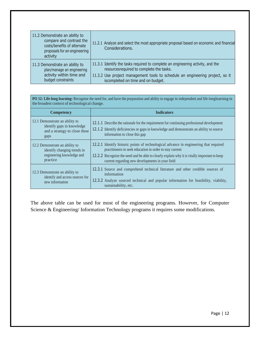| 11.2 Demonstrate an ability to<br>compare and contrast the<br>costs/benefits of alternate<br>proposals for an engineering<br>activity | 11.2.1 Analyze and select the most appropriate proposal based on economic and financial<br>Considerations. |
|---------------------------------------------------------------------------------------------------------------------------------------|------------------------------------------------------------------------------------------------------------|
| 11.3 Demonstrate an ability to                                                                                                        | 11.3.1 Identify the tasks required to complete an engineering activity, and the                            |
| plan/manage an engineering                                                                                                            | resources required to complete the tasks.                                                                  |
| activity within time and                                                                                                              | 11.3.2 Use project management tools to schedule an engineering project, so it                              |
| budget constraints                                                                                                                    | iscompleted on time and on budget.                                                                         |

**PO 12: Life-long learning:** Recognise the need for, and have the preparation and ability to engage in independent and life-longlearning in the broadest context of technological change.

| <b>Competency</b>                                                                                      | <b>Indicators</b>                                                                                                                                                                                                                                                                                     |  |
|--------------------------------------------------------------------------------------------------------|-------------------------------------------------------------------------------------------------------------------------------------------------------------------------------------------------------------------------------------------------------------------------------------------------------|--|
| 12.1 Demonstrate an ability to<br>identify gaps in knowledge<br>and a strategy to close these<br>gaps  | 12.1.1 Describe the rationale for the requirement for continuing professional development<br>12.1.2 Identify deficiencies or gaps in knowledge and demonstrate an ability to source<br>information to close this gap                                                                                  |  |
| 12.2 Demonstrate an ability to<br>identify changing trends in<br>engineering knowledge and<br>practice | 12.2.1 Identify historic points of technological advance in engineering that required<br>practitioners to seek education in order to stay current<br>12.2.2 Recognize the need and be able to clearly explain why it is vitally important to keep<br>current regarding new developments in your field |  |
| 12.3 Demonstrate an ability to<br>identify and access sources for<br>new information                   | 12.3.1 Source and comprehend technical literature and other credible sources of<br>information<br>12.3.2 Analyze sourced technical and popular information for feasibility, viability,<br>sustainability, etc.                                                                                        |  |

The above table can be used for most of the engineering programs. However, for Computer Science & Engineering/ Information Technology programs it requires some modifications.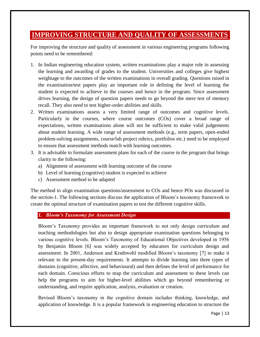# **IMPROVING STRUCTURE AND QUALITY OF ASSESSMENTS**

For improving the structure and quality of assessment in various engineering programs following points need to be remembered:

- 1. In Indian engineering education system, written examinations play a major role in assessing the learning and awarding of grades to the student. Universities and colleges give highest weightage to the outcomes of the written examinations in overall grading. Questions raised in the examination/test papers play an important role in defining the level of learning the student is expected to achieve in the courses and hence in the program. Since assessment drives learning, the design of question papers needs to go beyond the mere test of memory recall. They also need to test higher-order abilities and skills.
- 2. Written examinations assess a very limited range of outcomes and cognitive levels. Particularly in the courses, where course outcomes (COs) cover a broad range of expectations, written examinations alone will not be sufficient to make valid judgements about student learning. A wide range of assessment methods (e.g., term papers, open-ended problem-solving assignments, course/lab project rubrics, portfolios etc.) need to be employed to ensure that assessment methods match with learning outcomes.
- 3. It is advisable to formulate assessment plans for each of the course in the program that brings clarity to the following:
	- a) Alignment of assessment with learning outcome of the course
	- b) Level of learning (cognitive) student is expected to achieve
	- c) Assessment method to be adapted

The method to align examination questions/assessment to COs and hence POs was discussed in the section-1. The following sections discuss the application of Bloom's taxonomy framework to create the optimal structure of examination papers to test the different cognitive skills.

### *1. Bloom's Taxonomy for Assessment Design*

Bloom's Taxonomy provides an important framework to not only design curriculum and teaching methodologies but also to design appropriate examination questions belonging to various cognitive levels. Bloom's Taxonomy of Educational Objectives developed in 1956 by Benjamin Bloom [6] was widely accepted by educators for curriculum design and assessment. In 2001, Anderson and Krathwohl modified Bloom's taxonomy [7] to make it relevant to the present-day requirements. It attempts to divide learning into three types of domains (cognitive, affective, and behavioural) and then defines the level of performance for each domain. Conscious efforts to map the curriculum and assessment to these levels can help the programs to aim for higher-level abilities which go beyond remembering or understanding, and require application, analysis, evaluation or creation.

Revised Bloom's taxonomy in the cognitive domain includes thinking, knowledge, and application of knowledge. It is a popular framework in engineering education to structure the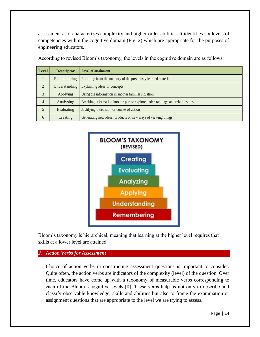assessment as it characterizes complexity and higher-order abilities. It identifies six levels of competencies within the cognitive domain (Fig. 2) which are appropriate for the purposes of engineering educators.

| <b>Level</b>   | <b>Descriptor</b> | <b>Level of attainment</b>                                                     |
|----------------|-------------------|--------------------------------------------------------------------------------|
|                | Remembering       | Recalling from the memory of the previously learned material                   |
| $\mathfrak{D}$ | Understanding     | Explaining ideas or concepts                                                   |
| 3              | Applying          | Using the information in another familiar situation                            |
| $\overline{4}$ | Analysing         | Breaking information into the part to explore understandings and relationships |
|                | Evaluating        | Justifying a decision or course of action                                      |
| 6              | Creating          | Generating new ideas, products or new ways of viewing things                   |

According to revised Bloom's taxonomy, the levels in the cognitive domain are as follows:



Bloom's taxonomy is hierarchical, meaning that learning at the higher level requires that skills at a lower level are attained.

#### *2. Action Verbs for Assessment*

Choice of action verbs in constructing assessment questions is important to consider. Quite often, the action verbs are indicators of the complexity (level) of the question. Over time, educators have come up with a taxonomy of measurable verbs corresponding to each of the Bloom's cognitive levels [8]. These verbs help us not only to describe and classify observable knowledge, skills and abilities but also to frame the examination or assignment questions that are appropriate to the level we are trying to assess.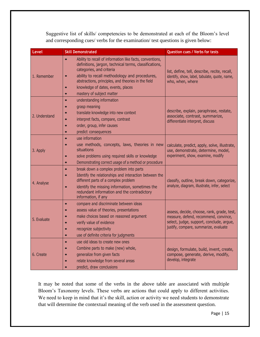Suggestive list of skills/ competencies to be demonstrated at each of the Bloom's level and corresponding cues/ verbs for the examination/ test questions is given below:

| Level         | <b>Skill Demonstrated</b>                                                                                                                                                                                                                                                                                                                                                      | <b>Question cues / Verbs for tests</b>                                                                                                                                   |
|---------------|--------------------------------------------------------------------------------------------------------------------------------------------------------------------------------------------------------------------------------------------------------------------------------------------------------------------------------------------------------------------------------|--------------------------------------------------------------------------------------------------------------------------------------------------------------------------|
| 1. Remember   | Ability to recall of information like facts, conventions,<br>$\bullet$<br>definitions, jargon, technical terms, classifications,<br>categories, and criteria<br>ability to recall methodology and procedures,<br>$\bullet$<br>abstractions, principles, and theories in the field<br>knowledge of dates, events, places<br>$\bullet$<br>mastery of subject matter<br>$\bullet$ | list, define, tell, describe, recite, recall,<br>identify, show, label, tabulate, quote, name,<br>who, when, where                                                       |
| 2. Understand | understanding information<br>$\bullet$<br>grasp meaning<br>$\bullet$<br>translate knowledge into new context<br>interpret facts, compare, contrast<br>$\bullet$<br>order, group, infer causes<br>$\bullet$<br>predict consequences<br>$\bullet$                                                                                                                                | describe, explain, paraphrase, restate,<br>associate, contrast, summarize,<br>differentiate interpret, discuss                                                           |
| 3. Apply      | use information<br>$\bullet$<br>use methods, concepts, laws, theories in new<br>$\bullet$<br>situations<br>solve problems using required skills or knowledge<br>$\bullet$<br>Demonstrating correct usage of a method or procedure<br>$\bullet$                                                                                                                                 | calculate, predict, apply, solve, illustrate,<br>use, demonstrate, determine, model,<br>experiment, show, examine, modify                                                |
| 4. Analyse    | break down a complex problem into parts<br>$\bullet$<br>Identify the relationships and interaction between the<br>different parts of a complex problem<br>identify the missing information, sometimes the<br>$\bullet$<br>redundant information and the contradictory<br>information, if any                                                                                   | classify, outline, break down, categorize,<br>analyze, diagram, illustrate, infer, select                                                                                |
| 5. Evaluate   | compare and discriminate between ideas<br>$\bullet$<br>assess value of theories, presentations<br>$\bullet$<br>make choices based on reasoned argument<br>$\bullet$<br>verify value of evidence<br>recognize subjectivity<br>use of definite criteria for judgments<br>$\bullet$                                                                                               | assess, decide, choose, rank, grade, test,<br>measure, defend, recommend, convince,<br>select, judge, support, conclude, argue,<br>justify, compare, summarize, evaluate |
| 6. Create     | use old ideas to create new ones<br>$\bullet$<br>Combine parts to make (new) whole,<br>$\bullet$<br>generalize from given facts<br>$\bullet$<br>relate knowledge from several areas<br>predict, draw conclusions                                                                                                                                                               | design, formulate, build, invent, create,<br>compose, generate, derive, modify,<br>develop, integrate                                                                    |

It may be noted that some of the verbs in the above table are associated with multiple Bloom's Taxonomy levels. These verbs are actions that could apply to different activities. We need to keep in mind that it's the skill, action or activity we need students to demonstrate that will determine the contextual meaning of the verb used in the assessment question.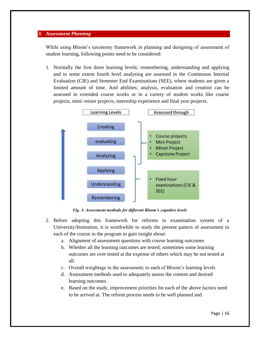### *3. Assessment Planning*

While using Bloom's taxonomy framework in planning and designing of assessment of student learning, following points need to be considered:

1. Normally the first three learning levels; remembering, understanding and applying and to some extent fourth level analysing are assessed in the Continuous Internal Evaluation (CIE) and Semester End Examinations (SEE), where students are given a limited amount of time. And abilities; analysis, evaluation and creation can be assessed in extended course works or in a variety of student works like course projects, mini/ minor projects, internship experience and final year projects.



*Fig. 3: Assessment methods for different Bloom's cognitive levels*

- 2. Before adopting this framework for reforms in examination system of a University/Institution, it is worthwhile to study the present pattern of assessment in each of the course in the program to gain insight about:
	- a. Alignment of assessment questions with course learning outcomes
	- b. Whether all the learning outcomes are tested; sometimes some learning outcomes are over tested at the expense of others which may be not tested at all.
	- c. Overall weightage in the assessment, to each of Bloom's learning levels
	- d. Assessment methods used to adequately assess the content and desired learning outcomes
	- e. Based on the study, improvement priorities for each of the above factors need to be arrived at. The reform process needs to be well planned and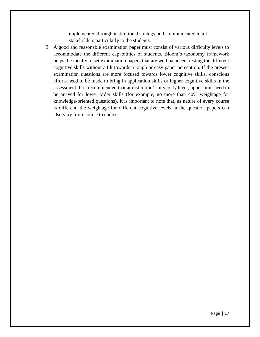implemented through institutional strategy and communicated to all stakeholders particularly to the students.

3. A good and reasonable examination paper must consist of various difficulty levels to accommodate the different capabilities of students. Bloom's taxonomy framework helps the faculty to set examination papers that are well balanced, testing the different cognitive skills without a tilt towards a tough or easy paper perception. If the present examination questions are more focused towards lower cognitive skills, conscious efforts need to be made to bring in application skills or higher cognitive skills in the assessment. It is recommended that at institution/ University level, upper limit need to be arrived for lower order skills (for example, no more than 40% weightage for knowledge-oriented questions). It is important to note that, as nature of every course is different, the weightage for different cognitive levels in the question papers can also vary from course to course.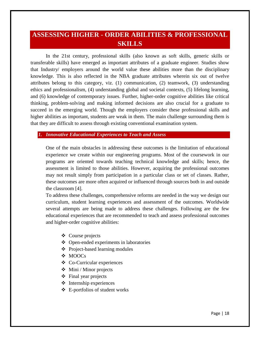# **ASSESSING HIGHER - ORDER ABILITIES & PROFESSIONAL SKILLS**

In the 21st century, professional skills (also known as soft skills, generic skills or transferable skills) have emerged as important attributes of a graduate engineer. Studies show that Industry/ employers around the world value these abilities more than the disciplinary knowledge. This is also reflected in the NBA graduate attributes wherein six out of twelve attributes belong to this category, viz. (1) communication, (2) teamwork, (3) understanding ethics and professionalism, (4) understanding global and societal contexts, (5) lifelong learning, and (6) knowledge of contemporary issues. Further, higher-order cognitive abilities like critical thinking, problem-solving and making informed decisions are also crucial for a graduate to succeed in the emerging world. Though the employers consider these professional skills and higher abilities as important, students are weak in them. The main challenge surrounding them is that they are difficult to assess through existing conventional examination system.

### *1. Innovative Educational Experiences to Teach and Assess*

One of the main obstacles in addressing these outcomes is the limitation of educational experience we create within our engineering programs. Most of the coursework in our programs are oriented towards teaching technical knowledge and skills; hence, the assessment is limited to those abilities. However, acquiring the professional outcomes may not result simply from participation in a particular class or set of classes. Rather, these outcomes are more often acquired or influenced through sources both in and outside the classroom [4].

To address these challenges, comprehensive reforms are needed in the way we design our curriculum, student learning experiences and assessment of the outcomes. Worldwide several attempts are being made to address these challenges. Following are the few educational experiences that are recommended to teach and assess professional outcomes and higher-order cognitive abilities:

- Course projects
- Open-ended experiments in laboratories
- ❖ Project-based learning modules
- $MOOCs$
- Co-Curricular experiences
- $\triangleleft$  Mini / Minor projects
- $\div$  Final year projects
- $\triangleleft$  Internship experiences
- E-portfolios of student works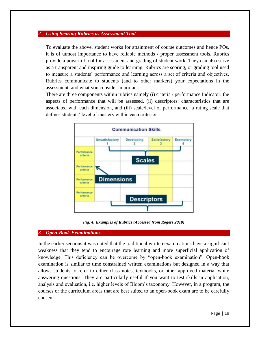#### *2. Using Scoring Rubrics as Assessment Tool*

To evaluate the above, student works for attainment of course outcomes and hence POs, it is of utmost importance to have reliable methods / proper assessment tools. Rubrics provide a powerful tool for assessment and grading of student work. They can also serve as a transparent and inspiring guide to learning. Rubrics are scoring, or grading tool used to measure a students' performance and learning across a set of criteria and objectives. Rubrics communicate to students (and to other markers) your expectations in the assessment, and what you consider important.

There are three components within rubrics namely (i) criteria / performance Indicator: the aspects of performance that will be assessed, (ii) descriptors: characteristics that are associated with each dimension, and (iii) scale/level of performance: a rating scale that defines students' level of mastery within each criterion.



*Fig. 4: Examples of Rubrics (Accessed from Rogers 2010)*

#### *3. Open-Book Examinations*

In the earlier sections it was noted that the traditional written examinations have a significant weakness that they tend to encourage rote learning and more superficial application of knowledge. This deficiency can be overcome by "open-book examination". Open-book examination is similar to time constrained written examinations but designed in a way that allows students to refer to either class notes, textbooks, or other approved material while answering questions. They are particularly useful if you want to test skills in application, analysis and evaluation, i.e. higher levels of Bloom's taxonomy. However, in a program, the courses or the curriculum areas that are best suited to an open-book exam are to be carefully chosen.